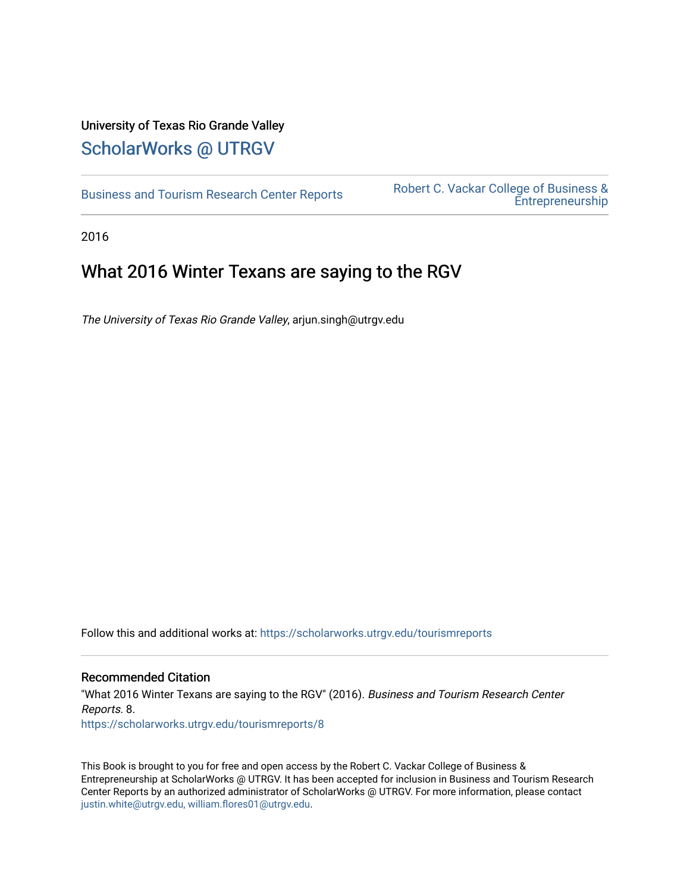## University of Texas Rio Grande Valley [ScholarWorks @ UTRGV](https://scholarworks.utrgv.edu/)

[Business and Tourism Research Center Reports](https://scholarworks.utrgv.edu/tourismreports)<br>
Entreprepeutship [Entrepreneurship](https://scholarworks.utrgv.edu/rcvcbe) 

2016

## What 2016 Winter Texans are saying to the RGV

The University of Texas Rio Grande Valley, arjun.singh@utrgv.edu

Follow this and additional works at: [https://scholarworks.utrgv.edu/tourismreports](https://scholarworks.utrgv.edu/tourismreports?utm_source=scholarworks.utrgv.edu%2Ftourismreports%2F8&utm_medium=PDF&utm_campaign=PDFCoverPages) 

## Recommended Citation

"What 2016 Winter Texans are saying to the RGV" (2016). Business and Tourism Research Center Reports. 8. [https://scholarworks.utrgv.edu/tourismreports/8](https://scholarworks.utrgv.edu/tourismreports/8?utm_source=scholarworks.utrgv.edu%2Ftourismreports%2F8&utm_medium=PDF&utm_campaign=PDFCoverPages) 

This Book is brought to you for free and open access by the Robert C. Vackar College of Business & Entrepreneurship at ScholarWorks @ UTRGV. It has been accepted for inclusion in Business and Tourism Research Center Reports by an authorized administrator of ScholarWorks @ UTRGV. For more information, please contact [justin.white@utrgv.edu, william.flores01@utrgv.edu](mailto:justin.white@utrgv.edu,%20william.flores01@utrgv.edu).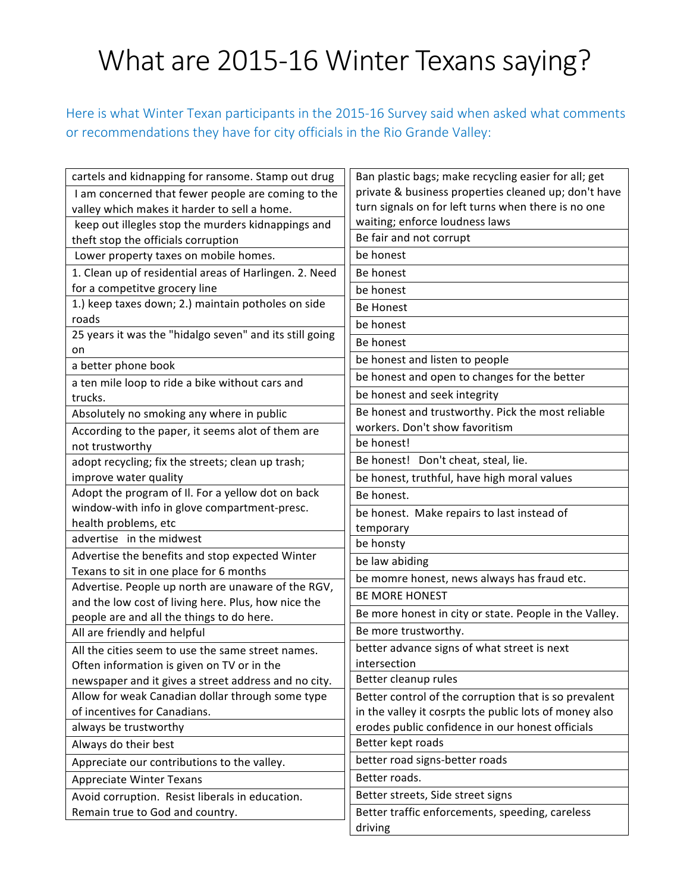## What are 2015-16 Winter Texans saying?

Here is what Winter Texan participants in the 2015-16 Survey said when asked what comments or recommendations they have for city officials in the Rio Grande Valley:

| cartels and kidnapping for ransome. Stamp out drug                     | Ban plastic bags; make recycling easier for all; get   |
|------------------------------------------------------------------------|--------------------------------------------------------|
| I am concerned that fewer people are coming to the                     | private & business properties cleaned up; don't have   |
| valley which makes it harder to sell a home.                           | turn signals on for left turns when there is no one    |
| keep out illegles stop the murders kidnappings and                     | waiting; enforce loudness laws                         |
| theft stop the officials corruption                                    | Be fair and not corrupt                                |
| Lower property taxes on mobile homes.                                  | be honest                                              |
| 1. Clean up of residential areas of Harlingen. 2. Need                 | Be honest                                              |
| for a competitve grocery line                                          | be honest                                              |
| 1.) keep taxes down; 2.) maintain potholes on side                     | <b>Be Honest</b>                                       |
| roads                                                                  | be honest                                              |
| 25 years it was the "hidalgo seven" and its still going                | Be honest                                              |
| on                                                                     | be honest and listen to people                         |
| a better phone book<br>a ten mile loop to ride a bike without cars and | be honest and open to changes for the better           |
| trucks.                                                                | be honest and seek integrity                           |
| Absolutely no smoking any where in public                              | Be honest and trustworthy. Pick the most reliable      |
| According to the paper, it seems alot of them are                      | workers. Don't show favoritism                         |
| not trustworthy                                                        | be honest!                                             |
| adopt recycling; fix the streets; clean up trash;                      | Be honest! Don't cheat, steal, lie.                    |
| improve water quality                                                  | be honest, truthful, have high moral values            |
| Adopt the program of II. For a yellow dot on back                      | Be honest.                                             |
| window-with info in glove compartment-presc.                           | be honest. Make repairs to last instead of             |
| health problems, etc                                                   | temporary                                              |
| advertise in the midwest                                               | be honsty                                              |
| Advertise the benefits and stop expected Winter                        | be law abiding                                         |
| Texans to sit in one place for 6 months                                | be momre honest, news always has fraud etc.            |
| Advertise. People up north are unaware of the RGV,                     | <b>BE MORE HONEST</b>                                  |
| and the low cost of living here. Plus, how nice the                    |                                                        |
| people are and all the things to do here.                              | Be more honest in city or state. People in the Valley. |
| All are friendly and helpful                                           | Be more trustworthy.                                   |
| All the cities seem to use the same street names.                      | better advance signs of what street is next            |
| Often information is given on TV or in the                             | intersection                                           |
| newspaper and it gives a street address and no city.                   | Better cleanup rules                                   |
| Allow for weak Canadian dollar through some type                       | Better control of the corruption that is so prevalent  |
| of incentives for Canadians.                                           | in the valley it cosrpts the public lots of money also |
| always be trustworthy                                                  | erodes public confidence in our honest officials       |
| Always do their best                                                   | Better kept roads                                      |
| Appreciate our contributions to the valley.                            | better road signs-better roads                         |
| <b>Appreciate Winter Texans</b>                                        | Better roads.                                          |
| Avoid corruption. Resist liberals in education.                        | Better streets, Side street signs                      |
| Remain true to God and country.                                        | Better traffic enforcements, speeding, careless        |
|                                                                        | driving                                                |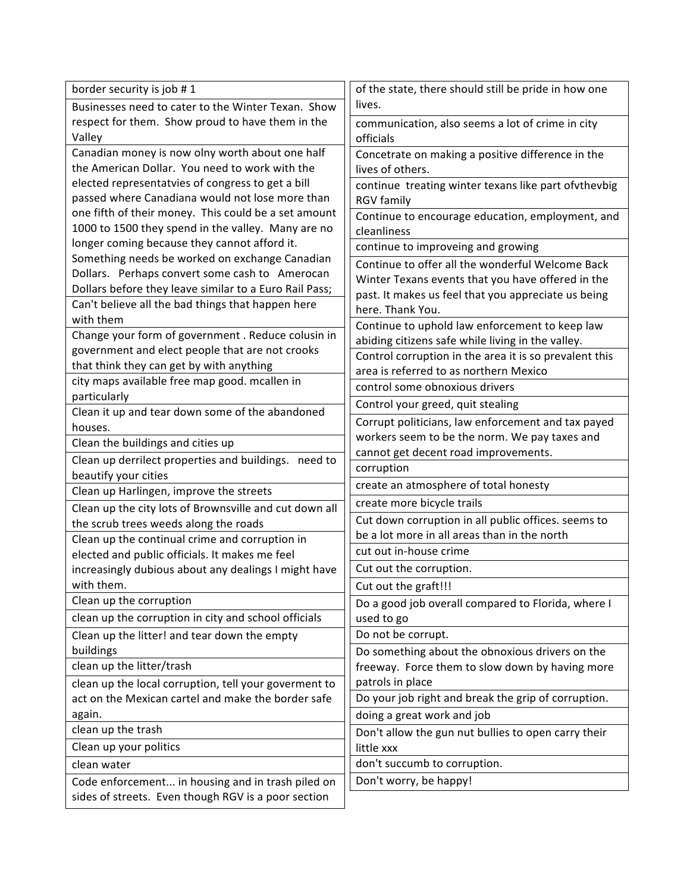| border security is job #1                                                                                   | of the state, there should still be pride in how one                                               |
|-------------------------------------------------------------------------------------------------------------|----------------------------------------------------------------------------------------------------|
| Businesses need to cater to the Winter Texan. Show                                                          | lives.                                                                                             |
| respect for them. Show proud to have them in the                                                            | communication, also seems a lot of crime in city                                                   |
| Valley                                                                                                      | officials                                                                                          |
| Canadian money is now olny worth about one half                                                             | Concetrate on making a positive difference in the                                                  |
| the American Dollar. You need to work with the                                                              | lives of others.                                                                                   |
| elected representatvies of congress to get a bill                                                           | continue treating winter texans like part ofvthevbig                                               |
| passed where Canadiana would not lose more than                                                             | <b>RGV</b> family                                                                                  |
| one fifth of their money. This could be a set amount                                                        | Continue to encourage education, employment, and                                                   |
| 1000 to 1500 they spend in the valley. Many are no                                                          | cleanliness                                                                                        |
| longer coming because they cannot afford it.                                                                | continue to improveing and growing                                                                 |
| Something needs be worked on exchange Canadian                                                              | Continue to offer all the wonderful Welcome Back                                                   |
| Dollars. Perhaps convert some cash to Amerocan                                                              | Winter Texans events that you have offered in the                                                  |
| Dollars before they leave similar to a Euro Rail Pass;                                                      | past. It makes us feel that you appreciate us being                                                |
| Can't believe all the bad things that happen here<br>with them                                              | here. Thank You.                                                                                   |
|                                                                                                             | Continue to uphold law enforcement to keep law                                                     |
| Change your form of government. Reduce colusin in                                                           | abiding citizens safe while living in the valley.                                                  |
| government and elect people that are not crooks<br>that think they can get by with anything                 | Control corruption in the area it is so prevalent this                                             |
| city maps available free map good. mcallen in                                                               | area is referred to as northern Mexico                                                             |
| particularly                                                                                                | control some obnoxious drivers                                                                     |
| Clean it up and tear down some of the abandoned                                                             | Control your greed, quit stealing                                                                  |
| houses.                                                                                                     | Corrupt politicians, law enforcement and tax payed                                                 |
| Clean the buildings and cities up                                                                           | workers seem to be the norm. We pay taxes and                                                      |
| Clean up derrilect properties and buildings. need to                                                        | cannot get decent road improvements.                                                               |
| beautify your cities                                                                                        | corruption                                                                                         |
| Clean up Harlingen, improve the streets                                                                     | create an atmosphere of total honesty                                                              |
| Clean up the city lots of Brownsville and cut down all                                                      | create more bicycle trails                                                                         |
| the scrub trees weeds along the roads                                                                       | Cut down corruption in all public offices. seems to                                                |
| Clean up the continual crime and corruption in                                                              | be a lot more in all areas than in the north                                                       |
| elected and public officials. It makes me feel                                                              | cut out in-house crime                                                                             |
| increasingly dubious about any dealings I might have                                                        | Cut out the corruption.                                                                            |
| with them.                                                                                                  | Cut out the graft!!!                                                                               |
| Clean up the corruption                                                                                     | Do a good job overall compared to Florida, where I                                                 |
| clean up the corruption in city and school officials                                                        | used to go                                                                                         |
| Clean up the litter! and tear down the empty                                                                |                                                                                                    |
|                                                                                                             | Do not be corrupt.                                                                                 |
| buildings                                                                                                   |                                                                                                    |
| clean up the litter/trash                                                                                   | Do something about the obnoxious drivers on the<br>freeway. Force them to slow down by having more |
|                                                                                                             | patrols in place                                                                                   |
| clean up the local corruption, tell your goverment to<br>act on the Mexican cartel and make the border safe | Do your job right and break the grip of corruption.                                                |
| again.                                                                                                      | doing a great work and job                                                                         |
| clean up the trash                                                                                          |                                                                                                    |
| Clean up your politics                                                                                      | Don't allow the gun nut bullies to open carry their<br>little xxx                                  |
|                                                                                                             |                                                                                                    |
| clean water                                                                                                 | don't succumb to corruption.                                                                       |
| Code enforcement in housing and in trash piled on<br>sides of streets. Even though RGV is a poor section    | Don't worry, be happy!                                                                             |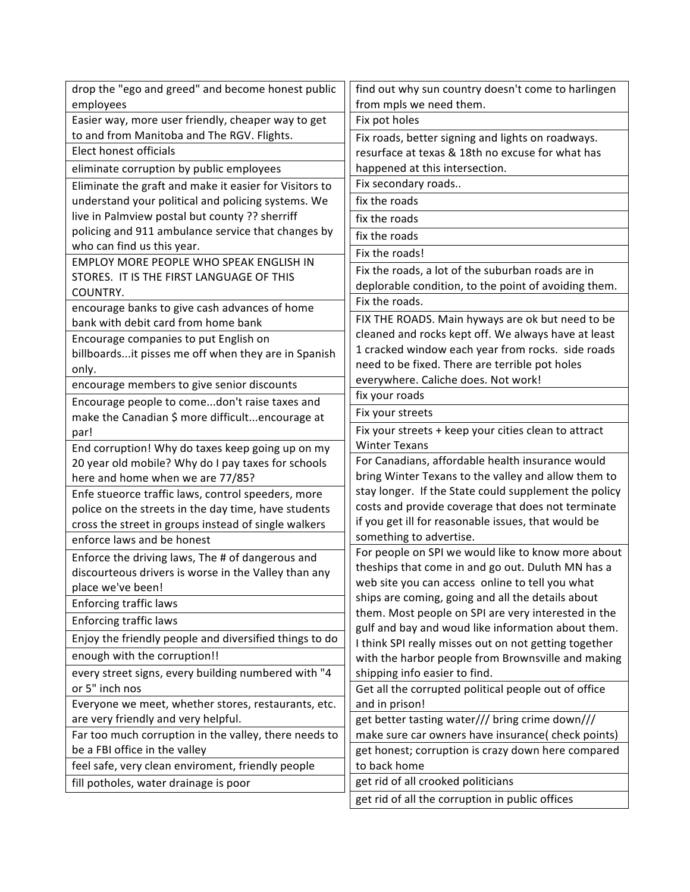| drop the "ego and greed" and become honest public                                            | find out why sun country doesn't come to harlingen                                                   |
|----------------------------------------------------------------------------------------------|------------------------------------------------------------------------------------------------------|
| employees                                                                                    | from mpls we need them.                                                                              |
| Easier way, more user friendly, cheaper way to get                                           | Fix pot holes                                                                                        |
| to and from Manitoba and The RGV. Flights.                                                   | Fix roads, better signing and lights on roadways.                                                    |
| Elect honest officials                                                                       | resurface at texas & 18th no excuse for what has                                                     |
| eliminate corruption by public employees                                                     | happened at this intersection.                                                                       |
| Eliminate the graft and make it easier for Visitors to                                       | Fix secondary roads                                                                                  |
| understand your political and policing systems. We                                           | fix the roads                                                                                        |
| live in Palmview postal but county ?? sherriff                                               | fix the roads                                                                                        |
| policing and 911 ambulance service that changes by                                           | fix the roads                                                                                        |
| who can find us this year.                                                                   | Fix the roads!                                                                                       |
| EMPLOY MORE PEOPLE WHO SPEAK ENGLISH IN                                                      | Fix the roads, a lot of the suburban roads are in                                                    |
| STORES. IT IS THE FIRST LANGUAGE OF THIS                                                     | deplorable condition, to the point of avoiding them.                                                 |
| COUNTRY.                                                                                     | Fix the roads.                                                                                       |
| encourage banks to give cash advances of home                                                | FIX THE ROADS. Main hyways are ok but need to be                                                     |
| bank with debit card from home bank                                                          | cleaned and rocks kept off. We always have at least                                                  |
| Encourage companies to put English on<br>billboardsit pisses me off when they are in Spanish | 1 cracked window each year from rocks. side roads                                                    |
| only.                                                                                        | need to be fixed. There are terrible pot holes                                                       |
| encourage members to give senior discounts                                                   | everywhere. Caliche does. Not work!                                                                  |
| Encourage people to comedon't raise taxes and                                                | fix your roads                                                                                       |
| make the Canadian \$ more difficultencourage at                                              | Fix your streets                                                                                     |
| par!                                                                                         | Fix your streets + keep your cities clean to attract                                                 |
| End corruption! Why do taxes keep going up on my                                             | <b>Winter Texans</b>                                                                                 |
| 20 year old mobile? Why do I pay taxes for schools                                           | For Canadians, affordable health insurance would                                                     |
| here and home when we are 77/85?                                                             | bring Winter Texans to the valley and allow them to                                                  |
| Enfe stueorce traffic laws, control speeders, more                                           | stay longer. If the State could supplement the policy                                                |
| police on the streets in the day time, have students                                         | costs and provide coverage that does not terminate                                                   |
| cross the street in groups instead of single walkers                                         | if you get ill for reasonable issues, that would be                                                  |
| enforce laws and be honest                                                                   | something to advertise.                                                                              |
| Enforce the driving laws, The # of dangerous and                                             | For people on SPI we would like to know more about                                                   |
| discourteous drivers is worse in the Valley than any                                         | theships that come in and go out. Duluth MN has a<br>web site you can access online to tell you what |
| place we've been!                                                                            | ships are coming, going and all the details about                                                    |
| <b>Enforcing traffic laws</b>                                                                | them. Most people on SPI are very interested in the                                                  |
| <b>Enforcing traffic laws</b>                                                                | gulf and bay and woud like information about them.                                                   |
| Enjoy the friendly people and diversified things to do                                       | I think SPI really misses out on not getting together                                                |
| enough with the corruption!!                                                                 | with the harbor people from Brownsville and making                                                   |
| every street signs, every building numbered with "4                                          | shipping info easier to find.                                                                        |
| or 5" inch nos                                                                               | Get all the corrupted political people out of office                                                 |
| Everyone we meet, whether stores, restaurants, etc.                                          | and in prison!                                                                                       |
| are very friendly and very helpful.                                                          | get better tasting water/// bring crime down///                                                      |
| Far too much corruption in the valley, there needs to                                        | make sure car owners have insurance( check points)                                                   |
| be a FBI office in the valley                                                                | get honest; corruption is crazy down here compared                                                   |
| feel safe, very clean enviroment, friendly people                                            | to back home                                                                                         |
| fill potholes, water drainage is poor                                                        | get rid of all crooked politicians                                                                   |
|                                                                                              | get rid of all the corruption in public offices                                                      |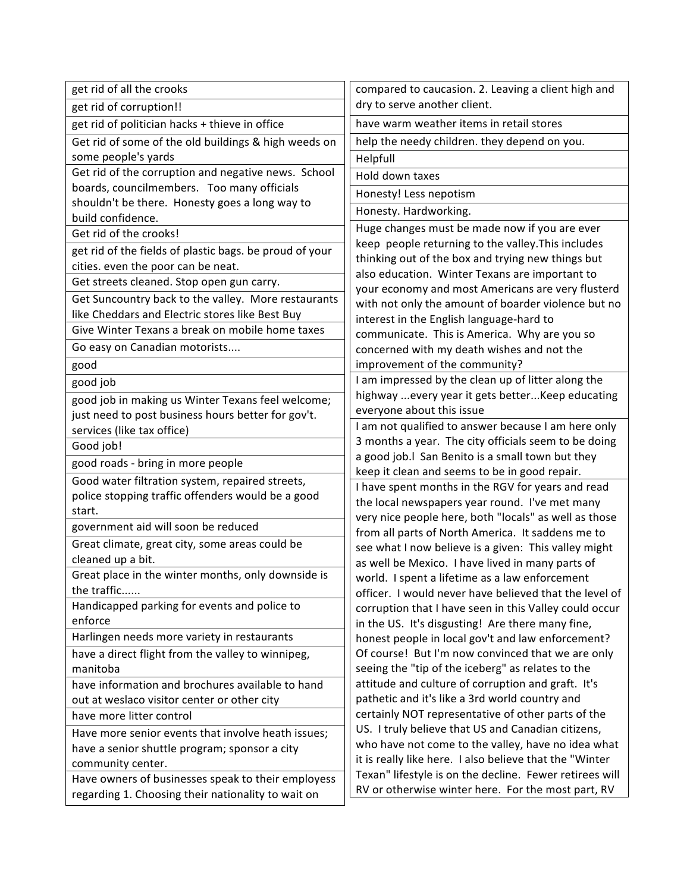| get rid of all the crooks                                                                              | compared to caucasion. 2. Leaving a client high and                                                      |
|--------------------------------------------------------------------------------------------------------|----------------------------------------------------------------------------------------------------------|
| get rid of corruption!!                                                                                | dry to serve another client.                                                                             |
| get rid of politician hacks + thieve in office                                                         | have warm weather items in retail stores                                                                 |
| Get rid of some of the old buildings & high weeds on                                                   | help the needy children. they depend on you.                                                             |
| some people's yards                                                                                    | Helpfull                                                                                                 |
| Get rid of the corruption and negative news. School                                                    | Hold down taxes                                                                                          |
| boards, councilmembers. Too many officials                                                             | Honesty! Less nepotism                                                                                   |
| shouldn't be there. Honesty goes a long way to                                                         | Honesty. Hardworking.                                                                                    |
| build confidence.                                                                                      | Huge changes must be made now if you are ever                                                            |
| Get rid of the crooks!                                                                                 | keep people returning to the valley. This includes                                                       |
| get rid of the fields of plastic bags. be proud of your                                                | thinking out of the box and trying new things but                                                        |
| cities. even the poor can be neat.<br>Get streets cleaned. Stop open gun carry.                        | also education. Winter Texans are important to                                                           |
|                                                                                                        | your economy and most Americans are very flusterd                                                        |
| Get Suncountry back to the valley. More restaurants<br>like Cheddars and Electric stores like Best Buy | with not only the amount of boarder violence but no                                                      |
| Give Winter Texans a break on mobile home taxes                                                        | interest in the English language-hard to                                                                 |
|                                                                                                        | communicate. This is America. Why are you so                                                             |
| Go easy on Canadian motorists                                                                          | concerned with my death wishes and not the                                                               |
| good                                                                                                   | improvement of the community?<br>I am impressed by the clean up of litter along the                      |
| good job                                                                                               | highway  every year it gets better Keep educating                                                        |
| good job in making us Winter Texans feel welcome;                                                      | everyone about this issue                                                                                |
| just need to post business hours better for gov't.<br>services (like tax office)                       | I am not qualified to answer because I am here only                                                      |
| Good job!                                                                                              | 3 months a year. The city officials seem to be doing                                                     |
|                                                                                                        | a good job. I San Benito is a small town but they                                                        |
| good roads - bring in more people                                                                      | keep it clean and seems to be in good repair.                                                            |
| Good water filtration system, repaired streets,<br>police stopping traffic offenders would be a good   | I have spent months in the RGV for years and read                                                        |
| start.                                                                                                 | the local newspapers year round. I've met many                                                           |
| government aid will soon be reduced                                                                    | very nice people here, both "locals" as well as those                                                    |
| Great climate, great city, some areas could be                                                         | from all parts of North America. It saddens me to                                                        |
| cleaned up a bit.                                                                                      | see what I now believe is a given: This valley might<br>as well be Mexico. I have lived in many parts of |
| Great place in the winter months, only downside is                                                     | world. I spent a lifetime as a law enforcement                                                           |
| the traffic                                                                                            | officer. I would never have believed that the level of                                                   |
| Handicapped parking for events and police to                                                           | corruption that I have seen in this Valley could occur                                                   |
| enforce                                                                                                | in the US. It's disgusting! Are there many fine,                                                         |
| Harlingen needs more variety in restaurants                                                            | honest people in local gov't and law enforcement?                                                        |
| have a direct flight from the valley to winnipeg,                                                      | Of course! But I'm now convinced that we are only                                                        |
| manitoba                                                                                               | seeing the "tip of the iceberg" as relates to the                                                        |
| have information and brochures available to hand                                                       | attitude and culture of corruption and graft. It's                                                       |
| out at weslaco visitor center or other city                                                            | pathetic and it's like a 3rd world country and                                                           |
| have more litter control                                                                               | certainly NOT representative of other parts of the<br>US. I truly believe that US and Canadian citizens, |
| Have more senior events that involve heath issues;                                                     | who have not come to the valley, have no idea what                                                       |
| have a senior shuttle program; sponsor a city                                                          | it is really like here. I also believe that the "Winter                                                  |
| community center.                                                                                      | Texan" lifestyle is on the decline. Fewer retirees will                                                  |
| Have owners of businesses speak to their employess                                                     | RV or otherwise winter here. For the most part, RV                                                       |
| regarding 1. Choosing their nationality to wait on                                                     |                                                                                                          |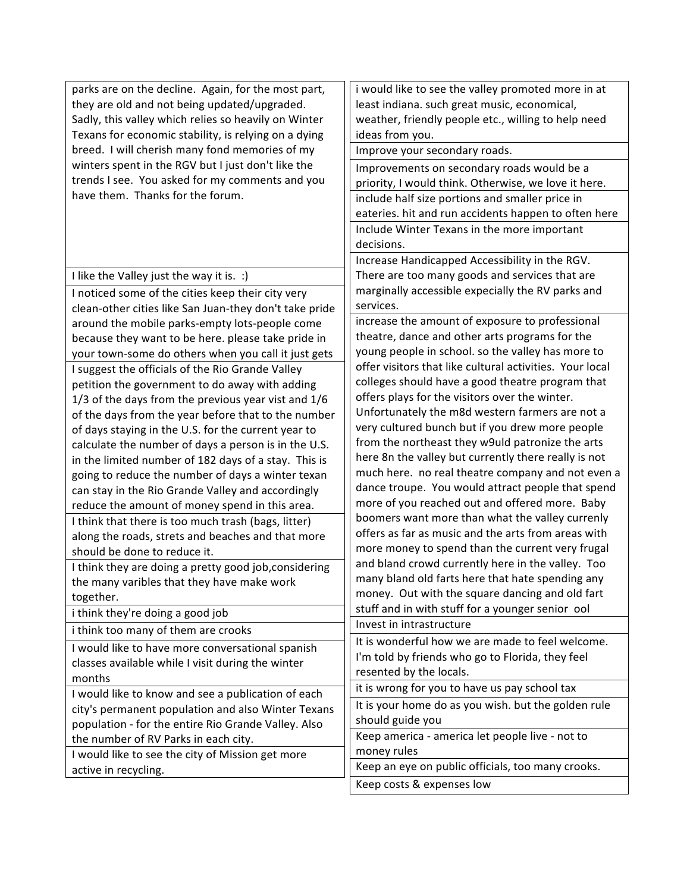| active in recycling.                                   | Keep an eye on public officials, too many crooks.        |
|--------------------------------------------------------|----------------------------------------------------------|
| I would like to see the city of Mission get more       | money rules                                              |
| the number of RV Parks in each city.                   | Keep america - america let people live - not to          |
| population - for the entire Rio Grande Valley. Also    | should guide you                                         |
| city's permanent population and also Winter Texans     | It is your home do as you wish. but the golden rule      |
| I would like to know and see a publication of each     | it is wrong for you to have us pay school tax            |
| months                                                 | resented by the locals.                                  |
| classes available while I visit during the winter      | I'm told by friends who go to Florida, they feel         |
| I would like to have more conversational spanish       | It is wonderful how we are made to feel welcome.         |
| i think too many of them are crooks                    | Invest in intrastructure                                 |
| i think they're doing a good job                       | stuff and in with stuff for a younger senior ool         |
| together.                                              | money. Out with the square dancing and old fart          |
| the many varibles that they have make work             | many bland old farts here that hate spending any         |
| I think they are doing a pretty good job, considering  | and bland crowd currently here in the valley. Too        |
| should be done to reduce it.                           | more money to spend than the current very frugal         |
| along the roads, strets and beaches and that more      | offers as far as music and the arts from areas with      |
| I think that there is too much trash (bags, litter)    | boomers want more than what the valley currenly          |
| reduce the amount of money spend in this area.         | more of you reached out and offered more. Baby           |
| can stay in the Rio Grande Valley and accordingly      | dance troupe. You would attract people that spend        |
| going to reduce the number of days a winter texan      | much here. no real theatre company and not even a        |
| in the limited number of 182 days of a stay. This is   | here 8n the valley but currently there really is not     |
| calculate the number of days a person is in the U.S.   | from the northeast they w9uld patronize the arts         |
| of days staying in the U.S. for the current year to    | very cultured bunch but if you drew more people          |
| of the days from the year before that to the number    | Unfortunately the m8d western farmers are not a          |
| 1/3 of the days from the previous year vist and 1/6    | offers plays for the visitors over the winter.           |
| petition the government to do away with adding         | colleges should have a good theatre program that         |
| I suggest the officials of the Rio Grande Valley       | offer visitors that like cultural activities. Your local |
| your town-some do others when you call it just gets    | young people in school. so the valley has more to        |
| because they want to be here. please take pride in     | theatre, dance and other arts programs for the           |
| around the mobile parks-empty lots-people come         | increase the amount of exposure to professional          |
| clean-other cities like San Juan-they don't take pride | services.                                                |
| I noticed some of the cities keep their city very      | marginally accessible expecially the RV parks and        |
| I like the Valley just the way it is. :)               | There are too many goods and services that are           |
|                                                        | Increase Handicapped Accessibility in the RGV.           |
|                                                        | decisions.                                               |
|                                                        | Include Winter Texans in the more important              |
|                                                        | eateries. hit and run accidents happen to often here     |
| have them. Thanks for the forum.                       | include half size portions and smaller price in          |
| trends I see. You asked for my comments and you        | priority, I would think. Otherwise, we love it here.     |
| winters spent in the RGV but I just don't like the     | Improvements on secondary roads would be a               |
| breed. I will cherish many fond memories of my         | Improve your secondary roads.                            |
| Texans for economic stability, is relying on a dying   | ideas from you.                                          |
| Sadly, this valley which relies so heavily on Winter   | weather, friendly people etc., willing to help need      |
| they are old and not being updated/upgraded.           | least indiana. such great music, economical,             |
| parks are on the decline. Again, for the most part,    | i would like to see the valley promoted more in at       |
|                                                        |                                                          |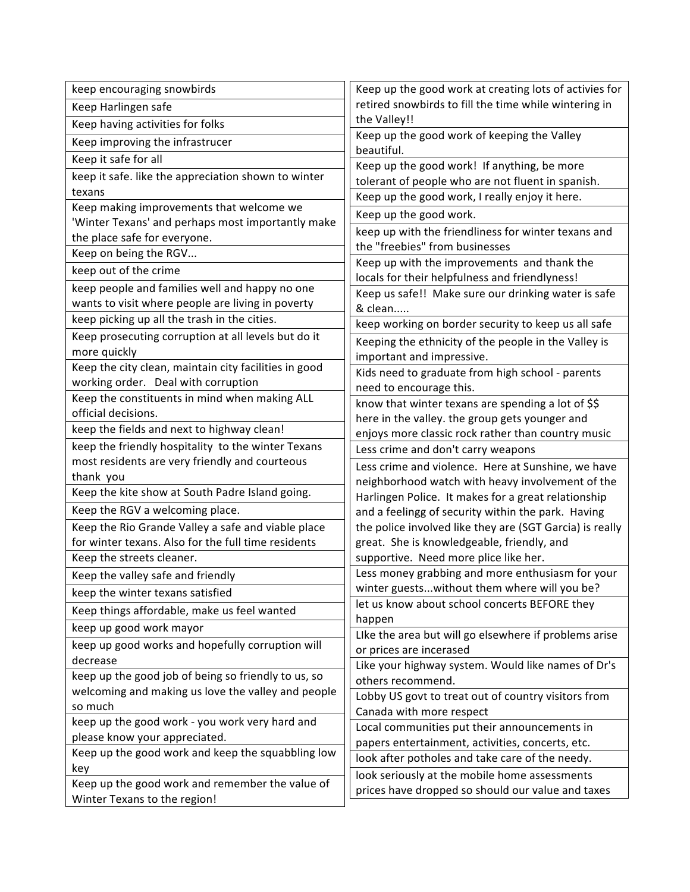| keep encouraging snowbirds                            | Keep up the good work at creating lots of activies for                                           |
|-------------------------------------------------------|--------------------------------------------------------------------------------------------------|
| Keep Harlingen safe                                   | retired snowbirds to fill the time while wintering in                                            |
| Keep having activities for folks                      | the Valley!!                                                                                     |
| Keep improving the infrastrucer                       | Keep up the good work of keeping the Valley                                                      |
| Keep it safe for all                                  | beautiful.                                                                                       |
| keep it safe. like the appreciation shown to winter   | Keep up the good work! If anything, be more<br>tolerant of people who are not fluent in spanish. |
| texans                                                | Keep up the good work, I really enjoy it here.                                                   |
| Keep making improvements that welcome we              | Keep up the good work.                                                                           |
| 'Winter Texans' and perhaps most importantly make     |                                                                                                  |
| the place safe for everyone.                          | keep up with the friendliness for winter texans and                                              |
| Keep on being the RGV                                 | the "freebies" from businesses                                                                   |
| keep out of the crime                                 | Keep up with the improvements and thank the<br>locals for their helpfulness and friendlyness!    |
| keep people and families well and happy no one        | Keep us safe!! Make sure our drinking water is safe                                              |
| wants to visit where people are living in poverty     | & clean                                                                                          |
| keep picking up all the trash in the cities.          | keep working on border security to keep us all safe                                              |
| Keep prosecuting corruption at all levels but do it   | Keeping the ethnicity of the people in the Valley is                                             |
| more quickly                                          | important and impressive.                                                                        |
| Keep the city clean, maintain city facilities in good | Kids need to graduate from high school - parents                                                 |
| working order. Deal with corruption                   | need to encourage this.                                                                          |
| Keep the constituents in mind when making ALL         | know that winter texans are spending a lot of \$\$                                               |
| official decisions.                                   | here in the valley. the group gets younger and                                                   |
| keep the fields and next to highway clean!            | enjoys more classic rock rather than country music                                               |
| keep the friendly hospitality to the winter Texans    | Less crime and don't carry weapons                                                               |
| most residents are very friendly and courteous        | Less crime and violence. Here at Sunshine, we have                                               |
| thank you                                             | neighborhood watch with heavy involvement of the                                                 |
| Keep the kite show at South Padre Island going.       | Harlingen Police. It makes for a great relationship                                              |
| Keep the RGV a welcoming place.                       | and a feelingg of security within the park. Having                                               |
| Keep the Rio Grande Valley a safe and viable place    | the police involved like they are (SGT Garcia) is really                                         |
| for winter texans. Also for the full time residents   | great. She is knowledgeable, friendly, and                                                       |
| Keep the streets cleaner.                             | supportive. Need more plice like her.                                                            |
| Keep the valley safe and friendly                     | Less money grabbing and more enthusiasm for your                                                 |
| keep the winter texans satisfied                      | winter guestswithout them where will you be?                                                     |
| Keep things affordable, make us feel wanted           | let us know about school concerts BEFORE they                                                    |
| keep up good work mayor                               | happen                                                                                           |
| keep up good works and hopefully corruption will      | Like the area but will go elsewhere if problems arise                                            |
| decrease                                              | or prices are incerased<br>Like your highway system. Would like names of Dr's                    |
| keep up the good job of being so friendly to us, so   | others recommend.                                                                                |
| welcoming and making us love the valley and people    | Lobby US govt to treat out of country visitors from                                              |
| so much                                               | Canada with more respect                                                                         |
| keep up the good work - you work very hard and        | Local communities put their announcements in                                                     |
| please know your appreciated.                         | papers entertainment, activities, concerts, etc.                                                 |
| Keep up the good work and keep the squabbling low     | look after potholes and take care of the needy.                                                  |
| key                                                   | look seriously at the mobile home assessments                                                    |
| Keep up the good work and remember the value of       | prices have dropped so should our value and taxes                                                |
| Winter Texans to the region!                          |                                                                                                  |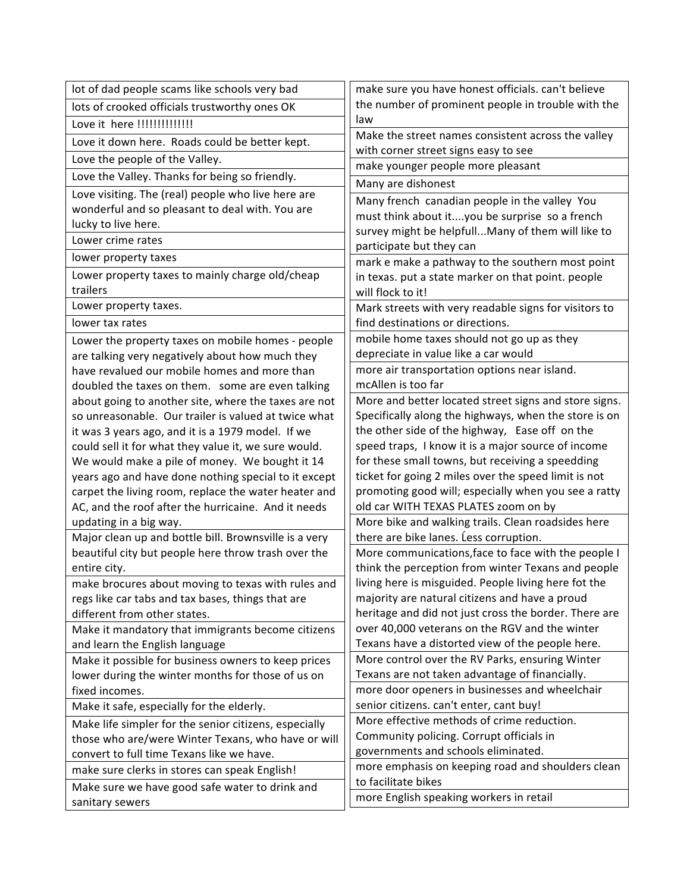| lot of dad people scams like schools very bad                                                               | make sure you have honest officials. can't believe                                                           |
|-------------------------------------------------------------------------------------------------------------|--------------------------------------------------------------------------------------------------------------|
| lots of crooked officials trustworthy ones OK                                                               | the number of prominent people in trouble with the                                                           |
| Love it here !!!!!!!!!!!!!!!                                                                                | law                                                                                                          |
| Love it down here. Roads could be better kept.                                                              | Make the street names consistent across the valley                                                           |
| Love the people of the Valley.                                                                              | with corner street signs easy to see                                                                         |
| Love the Valley. Thanks for being so friendly.                                                              | make younger people more pleasant                                                                            |
| Love visiting. The (real) people who live here are                                                          | Many are dishonest                                                                                           |
| wonderful and so pleasant to deal with. You are                                                             | Many french canadian people in the valley You                                                                |
| lucky to live here.                                                                                         | must think about ityou be surprise so a french                                                               |
| Lower crime rates                                                                                           | survey might be helpfull Many of them will like to                                                           |
| lower property taxes                                                                                        | participate but they can                                                                                     |
| Lower property taxes to mainly charge old/cheap                                                             | mark e make a pathway to the southern most point<br>in texas. put a state marker on that point. people       |
| trailers                                                                                                    | will flock to it!                                                                                            |
| Lower property taxes.                                                                                       | Mark streets with very readable signs for visitors to                                                        |
| lower tax rates                                                                                             | find destinations or directions.                                                                             |
| Lower the property taxes on mobile homes - people                                                           | mobile home taxes should not go up as they                                                                   |
| are talking very negatively about how much they                                                             | depreciate in value like a car would                                                                         |
| have revalued our mobile homes and more than                                                                | more air transportation options near island.                                                                 |
| doubled the taxes on them. some are even talking                                                            | mcAllen is too far                                                                                           |
| about going to another site, where the taxes are not                                                        | More and better located street signs and store signs.                                                        |
| so unreasonable. Our trailer is valued at twice what                                                        | Specifically along the highways, when the store is on                                                        |
| it was 3 years ago, and it is a 1979 model. If we                                                           | the other side of the highway, Ease off on the                                                               |
| could sell it for what they value it, we sure would.                                                        | speed traps, I know it is a major source of income                                                           |
| We would make a pile of money. We bought it 14                                                              | for these small towns, but receiving a speedding                                                             |
| years ago and have done nothing special to it except                                                        | ticket for going 2 miles over the speed limit is not<br>promoting good will; especially when you see a ratty |
| carpet the living room, replace the water heater and<br>AC, and the roof after the hurricaine. And it needs | old car WITH TEXAS PLATES zoom on by                                                                         |
| updating in a big way.                                                                                      | More bike and walking trails. Clean roadsides here                                                           |
| Major clean up and bottle bill. Brownsville is a very                                                       | there are bike lanes. Less corruption.                                                                       |
| beautiful city but people here throw trash over the                                                         | More communications, face to face with the people I                                                          |
| entire city.                                                                                                | think the perception from winter Texans and people                                                           |
| make brocures about moving to texas with rules and                                                          | living here is misguided. People living here fot the                                                         |
| regs like car tabs and tax bases, things that are                                                           | majority are natural citizens and have a proud                                                               |
| different from other states.                                                                                | heritage and did not just cross the border. There are                                                        |
| Make it mandatory that immigrants become citizens                                                           | over 40,000 veterans on the RGV and the winter                                                               |
| and learn the English language                                                                              | Texans have a distorted view of the people here.                                                             |
| Make it possible for business owners to keep prices                                                         | More control over the RV Parks, ensuring Winter                                                              |
| lower during the winter months for those of us on                                                           | Texans are not taken advantage of financially.                                                               |
| fixed incomes.                                                                                              | more door openers in businesses and wheelchair                                                               |
| Make it safe, especially for the elderly.                                                                   | senior citizens. can't enter, cant buy!                                                                      |
| Make life simpler for the senior citizens, especially                                                       | More effective methods of crime reduction.                                                                   |
| those who are/were Winter Texans, who have or will                                                          | Community policing. Corrupt officials in                                                                     |
| convert to full time Texans like we have.                                                                   | governments and schools eliminated.                                                                          |
| make sure clerks in stores can speak English!                                                               | more emphasis on keeping road and shoulders clean<br>to facilitate bikes                                     |
| Make sure we have good safe water to drink and                                                              | more English speaking workers in retail                                                                      |
| sanitary sewers                                                                                             |                                                                                                              |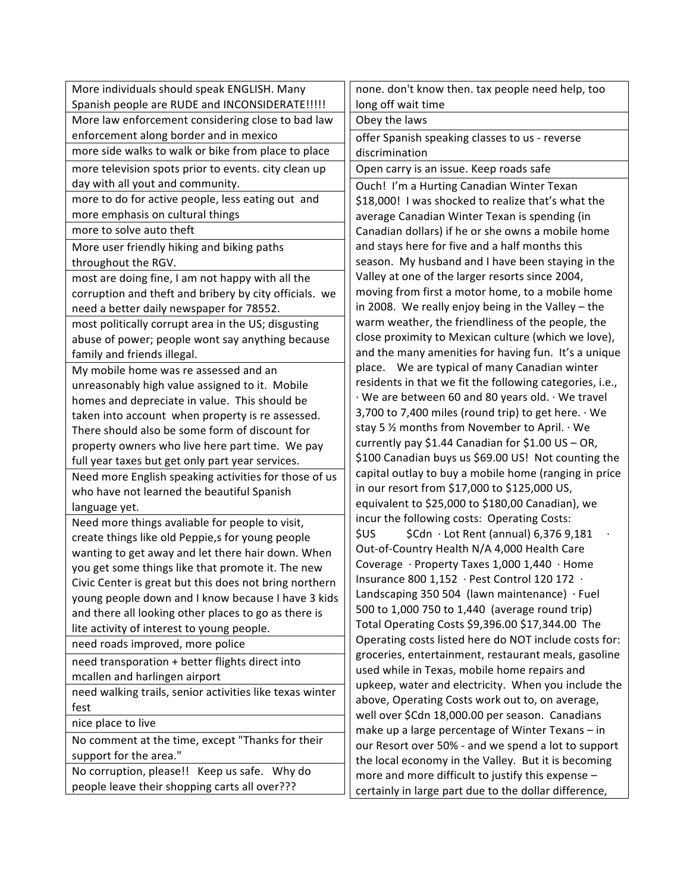| More individuals should speak ENGLISH. Many                                                           | none. don't know then. tax people need help, too                                                         |
|-------------------------------------------------------------------------------------------------------|----------------------------------------------------------------------------------------------------------|
| Spanish people are RUDE and INCONSIDERATE!!!!!                                                        | long off wait time                                                                                       |
| More law enforcement considering close to bad law                                                     | Obey the laws                                                                                            |
| enforcement along border and in mexico                                                                | offer Spanish speaking classes to us - reverse                                                           |
| more side walks to walk or bike from place to place                                                   | discrimination                                                                                           |
| more television spots prior to events. city clean up                                                  | Open carry is an issue. Keep roads safe                                                                  |
| day with all yout and community.                                                                      | Ouch! I'm a Hurting Canadian Winter Texan                                                                |
| more to do for active people, less eating out and                                                     | \$18,000! I was shocked to realize that's what the                                                       |
| more emphasis on cultural things                                                                      | average Canadian Winter Texan is spending (in                                                            |
| more to solve auto theft                                                                              | Canadian dollars) if he or she owns a mobile home                                                        |
| More user friendly hiking and biking paths                                                            | and stays here for five and a half months this                                                           |
| throughout the RGV.                                                                                   | season. My husband and I have been staying in the                                                        |
| most are doing fine, I am not happy with all the                                                      | Valley at one of the larger resorts since 2004,                                                          |
| corruption and theft and bribery by city officials. we                                                | moving from first a motor home, to a mobile home                                                         |
| need a better daily newspaper for 78552.                                                              | in 2008. We really enjoy being in the Valley - the                                                       |
| most politically corrupt area in the US; disgusting                                                   | warm weather, the friendliness of the people, the                                                        |
| abuse of power; people wont say anything because                                                      | close proximity to Mexican culture (which we love),                                                      |
| family and friends illegal.                                                                           | and the many amenities for having fun. It's a unique                                                     |
| My mobile home was re assessed and an                                                                 | place. We are typical of many Canadian winter                                                            |
| unreasonably high value assigned to it. Mobile                                                        | residents in that we fit the following categories, i.e.,                                                 |
| homes and depreciate in value. This should be                                                         | · We are between 60 and 80 years old. · We travel                                                        |
| taken into account when property is re assessed.                                                      | 3,700 to 7,400 miles (round trip) to get here. · We                                                      |
| There should also be some form of discount for                                                        | stay 5 % months from November to April. · We                                                             |
| property owners who live here part time. We pay                                                       | currently pay \$1.44 Canadian for \$1.00 US - OR,<br>\$100 Canadian buys us \$69.00 US! Not counting the |
| full year taxes but get only part year services.                                                      | capital outlay to buy a mobile home (ranging in price                                                    |
| Need more English speaking activities for those of us                                                 | in our resort from \$17,000 to \$125,000 US,                                                             |
| who have not learned the beautiful Spanish                                                            | equivalent to \$25,000 to \$180,00 Canadian), we                                                         |
| language yet.                                                                                         | incur the following costs: Operating Costs:                                                              |
| Need more things avaliable for people to visit,                                                       | \$Cdn · Lot Rent (annual) 6,376 9,181<br>\$US                                                            |
| create things like old Peppie,s for young people<br>wanting to get away and let there hair down. When | Out-of-Country Health N/A 4,000 Health Care                                                              |
| you get some things like that promote it. The new                                                     | Coverage · Property Taxes 1,000 1,440 · Home                                                             |
| Civic Center is great but this does not bring northern                                                | Insurance 800 1,152 · Pest Control 120 172 ·                                                             |
| young people down and I know because I have 3 kids                                                    | Landscaping 350 504 (lawn maintenance) $\cdot$ Fuel                                                      |
| and there all looking other places to go as there is                                                  | 500 to 1,000 750 to 1,440 (average round trip)                                                           |
| lite activity of interest to young people.                                                            | Total Operating Costs \$9,396.00 \$17,344.00 The                                                         |
| need roads improved, more police                                                                      | Operating costs listed here do NOT include costs for:                                                    |
| need transporation + better flights direct into                                                       | groceries, entertainment, restaurant meals, gasoline                                                     |
| mcallen and harlingen airport                                                                         | used while in Texas, mobile home repairs and                                                             |
| need walking trails, senior activities like texas winter                                              | upkeep, water and electricity. When you include the                                                      |
| fest                                                                                                  | above, Operating Costs work out to, on average,                                                          |
| nice place to live                                                                                    | well over \$Cdn 18,000.00 per season. Canadians                                                          |
| No comment at the time, except "Thanks for their                                                      | make up a large percentage of Winter Texans - in<br>our Resort over 50% - and we spend a lot to support  |
| support for the area."                                                                                | the local economy in the Valley. But it is becoming                                                      |
| No corruption, please!! Keep us safe. Why do                                                          | more and more difficult to justify this expense -                                                        |
| people leave their shopping carts all over???                                                         | certainly in large part due to the dollar difference,                                                    |
|                                                                                                       |                                                                                                          |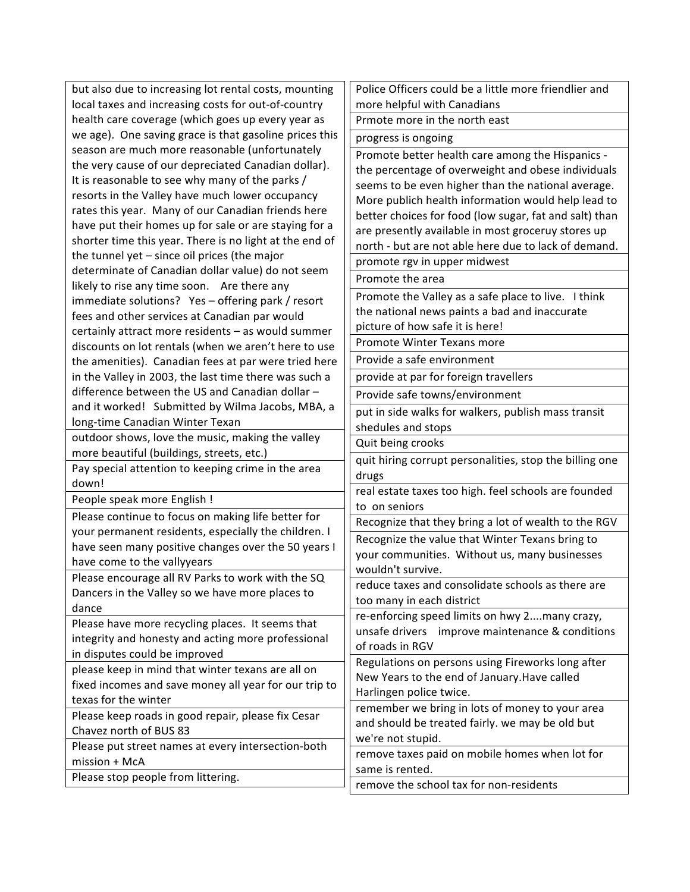| but also due to increasing lot rental costs, mounting       | Police Officers could be a little more friendlier and                                                |
|-------------------------------------------------------------|------------------------------------------------------------------------------------------------------|
| local taxes and increasing costs for out-of-country         | more helpful with Canadians                                                                          |
| health care coverage (which goes up every year as           | Prmote more in the north east                                                                        |
| we age). One saving grace is that gasoline prices this      | progress is ongoing                                                                                  |
| season are much more reasonable (unfortunately              | Promote better health care among the Hispanics -                                                     |
| the very cause of our depreciated Canadian dollar).         | the percentage of overweight and obese individuals                                                   |
| It is reasonable to see why many of the parks /             | seems to be even higher than the national average.                                                   |
| resorts in the Valley have much lower occupancy             | More publich health information would help lead to                                                   |
| rates this year. Many of our Canadian friends here          | better choices for food (low sugar, fat and salt) than                                               |
| have put their homes up for sale or are staying for a       | are presently available in most groceruy stores up                                                   |
| shorter time this year. There is no light at the end of     | north - but are not able here due to lack of demand.                                                 |
| the tunnel yet - since oil prices (the major                | promote rgv in upper midwest                                                                         |
| determinate of Canadian dollar value) do not seem           | Promote the area                                                                                     |
| likely to rise any time soon. Are there any                 |                                                                                                      |
| immediate solutions? Yes - offering park / resort           | Promote the Valley as a safe place to live. I think<br>the national news paints a bad and inaccurate |
| fees and other services at Canadian par would               | picture of how safe it is here!                                                                      |
| certainly attract more residents - as would summer          | Promote Winter Texans more                                                                           |
| discounts on lot rentals (when we aren't here to use        |                                                                                                      |
| the amenities). Canadian fees at par were tried here        | Provide a safe environment                                                                           |
| in the Valley in 2003, the last time there was such a       | provide at par for foreign travellers                                                                |
| difference between the US and Canadian dollar -             | Provide safe towns/environment                                                                       |
| and it worked! Submitted by Wilma Jacobs, MBA, a            | put in side walks for walkers, publish mass transit                                                  |
| long-time Canadian Winter Texan                             | shedules and stops                                                                                   |
| outdoor shows, love the music, making the valley            | Quit being crooks                                                                                    |
| more beautiful (buildings, streets, etc.)                   | quit hiring corrupt personalities, stop the billing one                                              |
| Pay special attention to keeping crime in the area<br>down! | drugs                                                                                                |
|                                                             | real estate taxes too high. feel schools are founded                                                 |
| People speak more English !                                 | to on seniors                                                                                        |
| Please continue to focus on making life better for          | Recognize that they bring a lot of wealth to the RGV                                                 |
| your permanent residents, especially the children. I        | Recognize the value that Winter Texans bring to                                                      |
| have seen many positive changes over the 50 years I         | your communities. Without us, many businesses                                                        |
| have come to the vallyyears                                 | wouldn't survive.                                                                                    |
| Please encourage all RV Parks to work with the SQ           | reduce taxes and consolidate schools as there are                                                    |
| Dancers in the Valley so we have more places to<br>dance    | too many in each district                                                                            |
| Please have more recycling places. It seems that            | re-enforcing speed limits on hwy 2many crazy,                                                        |
| integrity and honesty and acting more professional          | unsafe drivers improve maintenance & conditions                                                      |
| in disputes could be improved                               | of roads in RGV                                                                                      |
| please keep in mind that winter texans are all on           | Regulations on persons using Fireworks long after                                                    |
| fixed incomes and save money all year for our trip to       | New Years to the end of January. Have called                                                         |
| texas for the winter                                        | Harlingen police twice.                                                                              |
| Please keep roads in good repair, please fix Cesar          | remember we bring in lots of money to your area                                                      |
| Chavez north of BUS 83                                      | and should be treated fairly. we may be old but                                                      |
| Please put street names at every intersection-both          | we're not stupid.                                                                                    |
| mission + McA                                               | remove taxes paid on mobile homes when lot for                                                       |
| Please stop people from littering.                          | same is rented.                                                                                      |
|                                                             | remove the school tax for non-residents                                                              |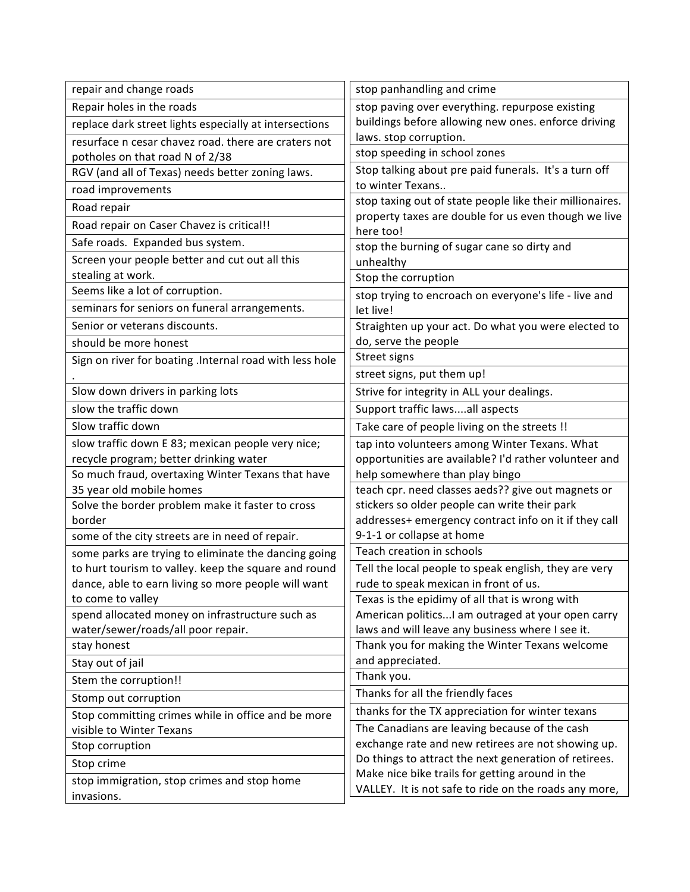| repair and change roads                                                                                      | stop panhandling and crime                                                                     |
|--------------------------------------------------------------------------------------------------------------|------------------------------------------------------------------------------------------------|
| Repair holes in the roads                                                                                    | stop paving over everything. repurpose existing                                                |
| replace dark street lights especially at intersections                                                       | buildings before allowing new ones. enforce driving                                            |
| resurface n cesar chavez road. there are craters not                                                         | laws. stop corruption.                                                                         |
| potholes on that road N of 2/38                                                                              | stop speeding in school zones                                                                  |
| RGV (and all of Texas) needs better zoning laws.                                                             | Stop talking about pre paid funerals. It's a turn off                                          |
| road improvements                                                                                            | to winter Texans                                                                               |
| Road repair                                                                                                  | stop taxing out of state people like their millionaires.                                       |
| Road repair on Caser Chavez is critical!!                                                                    | property taxes are double for us even though we live<br>here too!                              |
| Safe roads. Expanded bus system.                                                                             | stop the burning of sugar cane so dirty and                                                    |
| Screen your people better and cut out all this                                                               | unhealthy                                                                                      |
| stealing at work.                                                                                            | Stop the corruption                                                                            |
| Seems like a lot of corruption.                                                                              | stop trying to encroach on everyone's life - live and                                          |
| seminars for seniors on funeral arrangements.                                                                | let live!                                                                                      |
| Senior or veterans discounts.                                                                                | Straighten up your act. Do what you were elected to                                            |
| should be more honest                                                                                        | do, serve the people                                                                           |
| Sign on river for boating .Internal road with less hole                                                      | Street signs                                                                                   |
|                                                                                                              | street signs, put them up!                                                                     |
| Slow down drivers in parking lots                                                                            | Strive for integrity in ALL your dealings.                                                     |
| slow the traffic down                                                                                        | Support traffic lawsall aspects                                                                |
| Slow traffic down                                                                                            | Take care of people living on the streets !!                                                   |
| slow traffic down E 83; mexican people very nice;                                                            | tap into volunteers among Winter Texans. What                                                  |
| recycle program; better drinking water                                                                       | opportunities are available? I'd rather volunteer and                                          |
| So much fraud, overtaxing Winter Texans that have                                                            | help somewhere than play bingo                                                                 |
| 35 year old mobile homes                                                                                     | teach cpr. need classes aeds?? give out magnets or                                             |
| Solve the border problem make it faster to cross                                                             | stickers so older people can write their park                                                  |
| border                                                                                                       | addresses+ emergency contract info on it if they call<br>9-1-1 or collapse at home             |
| some of the city streets are in need of repair.                                                              | Teach creation in schools                                                                      |
| some parks are trying to eliminate the dancing going<br>to hurt tourism to valley. keep the square and round |                                                                                                |
| dance, able to earn living so more people will want                                                          | Tell the local people to speak english, they are very<br>rude to speak mexican in front of us. |
| to come to valley                                                                                            | Texas is the epidimy of all that is wrong with                                                 |
| spend allocated money on infrastructure such as                                                              | American politics I am outraged at your open carry                                             |
| water/sewer/roads/all poor repair.                                                                           | laws and will leave any business where I see it.                                               |
| stay honest                                                                                                  | Thank you for making the Winter Texans welcome                                                 |
| Stay out of jail                                                                                             | and appreciated.                                                                               |
| Stem the corruption!!                                                                                        | Thank you.                                                                                     |
| Stomp out corruption                                                                                         | Thanks for all the friendly faces                                                              |
| Stop committing crimes while in office and be more                                                           | thanks for the TX appreciation for winter texans                                               |
| visible to Winter Texans                                                                                     | The Canadians are leaving because of the cash                                                  |
| Stop corruption                                                                                              | exchange rate and new retirees are not showing up.                                             |
| Stop crime                                                                                                   | Do things to attract the next generation of retirees.                                          |
| stop immigration, stop crimes and stop home                                                                  | Make nice bike trails for getting around in the                                                |
| invasions.                                                                                                   | VALLEY. It is not safe to ride on the roads any more,                                          |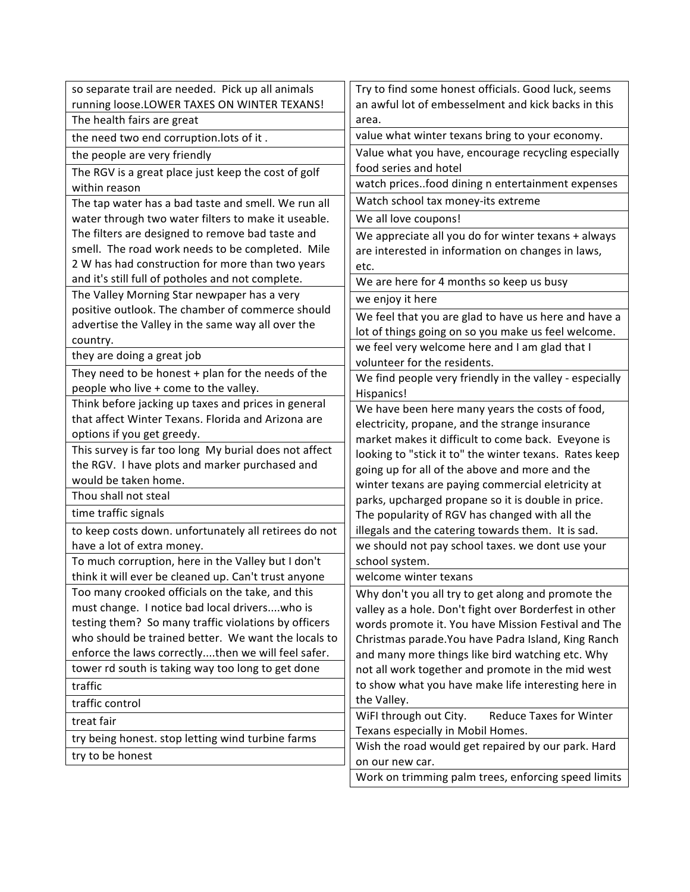| so separate trail are needed. Pick up all animals                                | Try to find some honest officials. Good luck, seems                                                  |
|----------------------------------------------------------------------------------|------------------------------------------------------------------------------------------------------|
| running loose.LOWER TAXES ON WINTER TEXANS!                                      | an awful lot of embesselment and kick backs in this                                                  |
| The health fairs are great                                                       | area.                                                                                                |
| the need two end corruption.lots of it.                                          | value what winter texans bring to your economy.                                                      |
| the people are very friendly                                                     | Value what you have, encourage recycling especially                                                  |
| The RGV is a great place just keep the cost of golf                              | food series and hotel                                                                                |
| within reason                                                                    | watch pricesfood dining n entertainment expenses                                                     |
| The tap water has a bad taste and smell. We run all                              | Watch school tax money-its extreme                                                                   |
| water through two water filters to make it useable.                              | We all love coupons!                                                                                 |
| The filters are designed to remove bad taste and                                 | We appreciate all you do for winter texans + always                                                  |
| smell. The road work needs to be completed. Mile                                 | are interested in information on changes in laws,                                                    |
| 2 W has had construction for more than two years                                 | etc.                                                                                                 |
| and it's still full of potholes and not complete.                                | We are here for 4 months so keep us busy                                                             |
| The Valley Morning Star newpaper has a very                                      | we enjoy it here                                                                                     |
| positive outlook. The chamber of commerce should                                 | We feel that you are glad to have us here and have a                                                 |
| advertise the Valley in the same way all over the                                | lot of things going on so you make us feel welcome.                                                  |
| country.                                                                         | we feel very welcome here and I am glad that I                                                       |
| they are doing a great job                                                       | volunteer for the residents.                                                                         |
| They need to be honest $+$ plan for the needs of the                             | We find people very friendly in the valley - especially                                              |
| people who live + come to the valley.                                            | Hispanics!                                                                                           |
| Think before jacking up taxes and prices in general                              | We have been here many years the costs of food,                                                      |
| that affect Winter Texans. Florida and Arizona are<br>options if you get greedy. | electricity, propane, and the strange insurance                                                      |
| This survey is far too long My burial does not affect                            | market makes it difficult to come back. Eveyone is                                                   |
| the RGV. I have plots and marker purchased and                                   | looking to "stick it to" the winter texans. Rates keep                                               |
| would be taken home.                                                             | going up for all of the above and more and the                                                       |
| Thou shall not steal                                                             | winter texans are paying commercial eletricity at                                                    |
| time traffic signals                                                             | parks, upcharged propane so it is double in price.                                                   |
| to keep costs down. unfortunately all retirees do not                            | The popularity of RGV has changed with all the<br>illegals and the catering towards them. It is sad. |
| have a lot of extra money.                                                       | we should not pay school taxes. we dont use your                                                     |
| To much corruption, here in the Valley but I don't                               | school system.                                                                                       |
| think it will ever be cleaned up. Can't trust anyone                             | welcome winter texans                                                                                |
| Too many crooked officials on the take, and this                                 | Why don't you all try to get along and promote the                                                   |
| must change. I notice bad local driverswho is                                    | valley as a hole. Don't fight over Borderfest in other                                               |
| testing them? So many traffic violations by officers                             | words promote it. You have Mission Festival and The                                                  |
| who should be trained better. We want the locals to                              | Christmas parade. You have Padra Island, King Ranch                                                  |
| enforce the laws correctlythen we will feel safer.                               | and many more things like bird watching etc. Why                                                     |
| tower rd south is taking way too long to get done                                | not all work together and promote in the mid west                                                    |
| traffic                                                                          | to show what you have make life interesting here in                                                  |
| traffic control                                                                  | the Valley.                                                                                          |
| treat fair                                                                       | WiFI through out City.<br><b>Reduce Taxes for Winter</b>                                             |
| try being honest. stop letting wind turbine farms                                | Texans especially in Mobil Homes.                                                                    |
| try to be honest                                                                 | Wish the road would get repaired by our park. Hard                                                   |
|                                                                                  | on our new car.                                                                                      |
|                                                                                  | Work on trimming palm trees, enforcing speed limits                                                  |